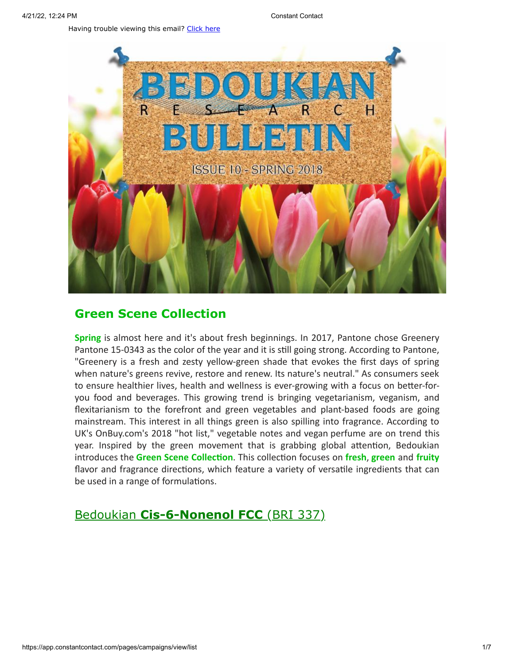Having trouble viewing this email? [Click](http://campaign.r20.constantcontact.com/render?preview=true&m=1119604276206&ca=2074af6c-1e51-4014-96fe-6f7c794b7bf6&id=preview) here



## **Green Scene Collection**

**Spring** is almost here and it's about fresh beginnings. In 2017, Pantone chose Greenery Pantone 15-0343 as the color of the year and it is still going strong. According to Pantone, "Greenery is a fresh and zesty yellow-green shade that evokes the first days of spring when nature's greens revive, restore and renew. Its nature's neutral." As consumers seek to ensure healthier lives, health and wellness is ever-growing with a focus on better-foryou food and beverages. This growing trend is bringing vegetarianism, veganism, and flexitarianism to the forefront and green vegetables and plant-based foods are going mainstream. This interest in all things green is also spilling into fragrance. According to UK's OnBuy.com's 2018 "hot list," vegetable notes and vegan perfume are on trend this year. Inspired by the green movement that is grabbing global attention, Bedoukian introduces the **Green Scene Collection**. This collection focuses on **fresh**, **green** and **fruity** flavor and fragrance directions, which feature a variety of versatile ingredients that can be used in a range of formulations.

# Bedoukian **[Cis-6-Nonenol FCC](http://search.bedoukian.com/flavorfragrance/ff_product.asp?method=POP&id=337)** (BRI 337)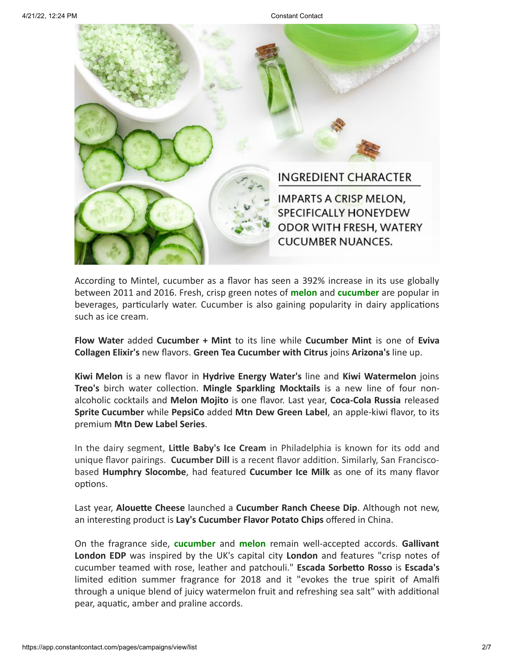

According to Mintel, cucumber as a flavor has seen a 392% increase in its use globally between 2011 and 2016. Fresh, crisp green notes of **melon** and **cucumber** are popular in beverages, particularly water. Cucumber is also gaining popularity in dairy applications such as ice cream.

**Flow Water** added **Cucumber + Mint** to its line while **Cucumber Mint** is one of **Eviva Collagen Elixir's** new flavors. **Green Tea Cucumber with Citrus** joins **Arizona's** line up.

**Kiwi Melon** is a new flavor in **Hydrive Energy Water's** line and **Kiwi Watermelon** joins **Treo's** birch water collection. **Mingle Sparkling Mocktails** is a new line of four nonalcoholic cocktails and **Melon Mojito** is one flavor. Last year, **Coca-Cola Russia** released **Sprite Cucumber** while **PepsiCo** added **Mtn Dew Green Label**, an apple-kiwi flavor, to its premium **Mtn Dew Label Series**.

In the dairy segment, **Little Baby's Ice Cream** in Philadelphia is known for its odd and unique flavor pairings. **Cucumber Dill** is a recent flavor addition. Similarly, San Franciscobased **Humphry Slocombe**, had featured **Cucumber Ice Milk** as one of its many flavor options.

Last year, **Alouette Cheese** launched a **Cucumber Ranch Cheese Dip**. Although not new, an interesting product is **Lay's Cucumber Flavor Potato Chips** offered in China.

On the fragrance side, **cucumber** and **melon** remain well-accepted accords. **Gallivant London EDP** was inspired by the UK's capital city **London** and features "crisp notes of cucumber teamed with rose, leather and patchouli." **Escada Sorbetto Rosso** is **Escada's** limited edition summer fragrance for 2018 and it "evokes the true spirit of Amalfi through a unique blend of juicy watermelon fruit and refreshing sea salt" with additional pear, aquatic, amber and praline accords.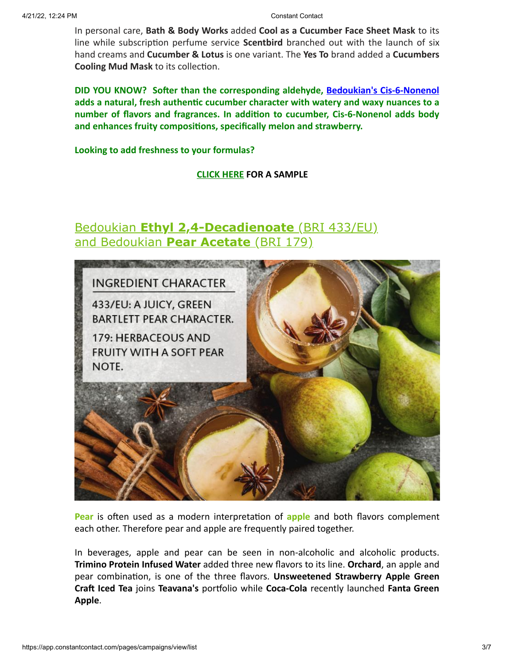In personal care, **Bath & Body Works** added **Cool as a Cucumber Face Sheet Mask** to its line while subscription perfume service **Scentbird** branched out with the launch of six hand creams and **Cucumber & Lotus** is one variant. The **Yes To** brand added a **Cucumbers Cooling Mud Mask** to its collection.

**DID YOU KNOW? Softer than the corresponding aldehyde, [Bedoukian's Cis-6-Nonenol](http://search.bedoukian.com/flavorfragrance/ff_product.asp?method=POP&id=337) adds a natural, fresh authentic cucumber character with watery and waxy nuances to a number of flavors and fragrances. In addition to cucumber, Cis-6-Nonenol adds body and enhances fruity compositions, specifically melon and strawberry.**

**Looking to add freshness to your formulas?**

**[CLICK HERE](mailto:customerservice@bedoukian.com?subject=Bedoukian%20Bulletin%20-%20Spring%202018&body=Hello%2C%0A%0AI%20would%20like%20to%20request%20free%20samples%20of%20each%20product%20advertised%20in%20the%20Spring%202018%20Bedoukian%20Bulletin!%0A) FOR A SAMPLE**

## Bedoukian **[Ethyl 2,4-Decadienoate](http://search.bedoukian.com/flavorfragrance/ff_product.asp?method=POP&id=433)** (BRI 433/EU) and Bedoukian **[Pear Acetate](http://search.bedoukian.com/flavorfragrance/ff_product.asp?method=POP&id=179)** (BRI 179)



**Pear** is often used as a modern interpretation of **apple** and both flavors complement each other. Therefore pear and apple are frequently paired together.

In beverages, apple and pear can be seen in non-alcoholic and alcoholic products. **Trimino Protein Infused Water** added three new flavors to its line. **Orchard**, an apple and pear combination, is one of the three flavors. **Unsweetened Strawberry Apple Green Craft Iced Tea** joins **Teavana's** portfolio while **Coca-Cola** recently launched **Fanta Green Apple**.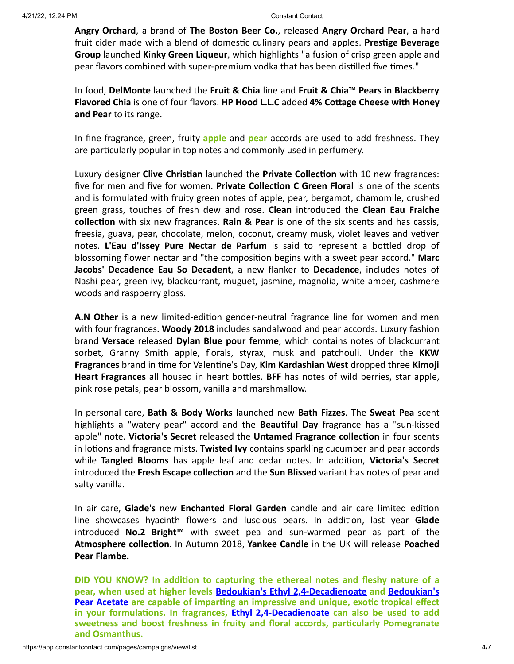**Angry Orchard**, a brand of **The Boston Beer Co.**, released **Angry Orchard Pear**, a hard fruit cider made with a blend of domestic culinary pears and apples. **Prestige Beverage Group** launched **Kinky Green Liqueur**, which highlights "a fusion of crisp green apple and pear flavors combined with super-premium vodka that has been distilled five times."

In food, **DelMonte** launched the **Fruit & Chia** line and **Fruit & Chia™ Pears in Blackberry Flavored Chia** is one of four flavors. **HP Hood L.L.C** added **4% Cottage Cheese with Honey and Pear** to its range.

In fine fragrance, green, fruity **apple** and **pear** accords are used to add freshness. They are particularly popular in top notes and commonly used in perfumery.

Luxury designer **Clive Christian** launched the **Private Collection** with 10 new fragrances: five for men and five for women. **Private Collection C Green Floral** is one of the scents and is formulated with fruity green notes of apple, pear, bergamot, chamomile, crushed green grass, touches of fresh dew and rose. **Clean** introduced the **Clean Eau Fraiche collection** with six new fragrances. **Rain & Pear** is one of the six scents and has cassis, freesia, guava, pear, chocolate, melon, coconut, creamy musk, violet leaves and vetiver notes. **L'Eau d'Issey Pure Nectar de Parfum** is said to represent a bottled drop of blossoming flower nectar and "the composition begins with a sweet pear accord." **Marc Jacobs' Decadence Eau So Decadent**, a new flanker to **Decadence**, includes notes of Nashi pear, green ivy, blackcurrant, muguet, jasmine, magnolia, white amber, cashmere woods and raspberry gloss.

**A.N Other** is a new limited-edition gender-neutral fragrance line for women and men with four fragrances. **Woody 2018** includes sandalwood and pear accords. Luxury fashion brand **Versace** released **Dylan Blue pour femme**, which contains notes of blackcurrant sorbet, Granny Smith apple, florals, styrax, musk and patchouli. Under the **KKW Fragrances** brand in time for Valentine's Day, **Kim Kardashian West** dropped three **Kimoji Heart Fragrances** all housed in heart bottles. **BFF** has notes of wild berries, star apple, pink rose petals, pear blossom, vanilla and marshmallow.

In personal care, **Bath & Body Works** launched new **Bath Fizzes**. The **Sweat Pea** scent highlights a "watery pear" accord and the **Beautiful Day** fragrance has a "sun-kissed apple" note. **Victoria's Secret** released the **Untamed Fragrance collection** in four scents in lotions and fragrance mists. **Twisted Ivy** contains sparkling cucumber and pear accords while **Tangled Blooms** has apple leaf and cedar notes. In addition, **Victoria's Secret** introduced the **Fresh Escape collection** and the **Sun Blissed** variant has notes of pear and salty vanilla.

In air care, **Glade's** new **Enchanted Floral Garden** candle and air care limited edition line showcases hyacinth flowers and luscious pears. In addition, last year **Glade** introduced **No.2 Bright™** with sweet pea and sun-warmed pear as part of the **Atmosphere collection**. In Autumn 2018, **Yankee Candle** in the UK will release **Poached Pear Flambe.**

**DID YOU KNOW? In addition to capturing the ethereal notes and fleshy nature of a pear, when used at higher levels [Bedoukian's Ethyl 2,4-Decadienoate](http://search.bedoukian.com/flavorfragrance/ff_product.asp?method=POP&id=433) and Bedoukian's Pear Acetate [are capable of imparting an impressive and unique, exotic tropical effect](http://search.bedoukian.com/flavorfragrance/ff_product.asp?method=POP&id=179) in your formulations. In fragrances, [Ethyl 2,4-Decadienoate](http://bedoukian.com/images/ACCORDS/Ethyl24DecadienoateAccords.pdf) can also be used to add sweetness and boost freshness in fruity and floral accords, particularly Pomegranate and Osmanthus.**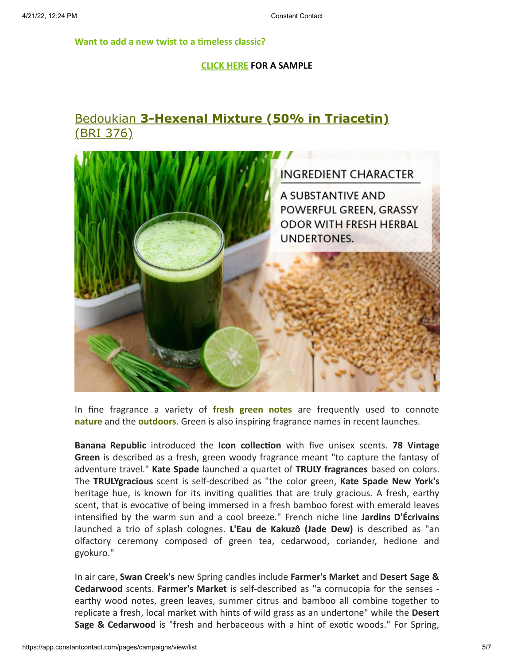**Want to add a new twist to a timeless classic?**

### **[CLICK HERE](mailto:customerservice@bedoukian.com?subject=Bedoukian%20Bulletin%20-%20Spring%202018&body=Hello%2C%0A%0AI%20would%20like%20to%20request%20free%20samples%20of%20each%20product%20advertised%20in%20the%20Spring%202018%20Bedoukian%20Bulletin!) FOR A SAMPLE**

# Bedoukian **[3-Hexenal Mixture \(50% in Triacetin\)](http://search.bedoukian.com/flavorfragrance/ff_product.asp?method=POP&id=376)** (BRI 376)



In fine fragrance a variety of **fresh green notes** are frequently used to connote **nature** and the **outdoors**. Green is also inspiring fragrance names in recent launches.

**Banana Republic** introduced the **Icon collection** with five unisex scents. **78 Vintage Green** is described as a fresh, green woody fragrance meant "to capture the fantasy of adventure travel." **Kate Spade** launched a quartet of **TRULY fragrances** based on colors. The **TRULYgracious** scent is self-described as "the color green, **Kate Spade New York's** heritage hue, is known for its inviting qualities that are truly gracious. A fresh, earthy scent, that is evocative of being immersed in a fresh bamboo forest with emerald leaves intensified by the warm sun and a cool breeze." French niche line **Jardins D'Écrivains** launched a trio of splash colognes. **L'Eau de Kakuzô (Jade Dew)** is described as "an olfactory ceremony composed of green tea, cedarwood, coriander, hedione and gyokuro."

In air care, **Swan Creek's** new Spring candles include **Farmer's Market** and **Desert Sage & Cedarwood** scents. **Farmer's Market** is self-described as "a cornucopia for the senses earthy wood notes, green leaves, summer citrus and bamboo all combine together to replicate a fresh, local market with hints of wild grass as an undertone" while the **Desert Sage & Cedarwood** is "fresh and herbaceous with a hint of exotic woods." For Spring,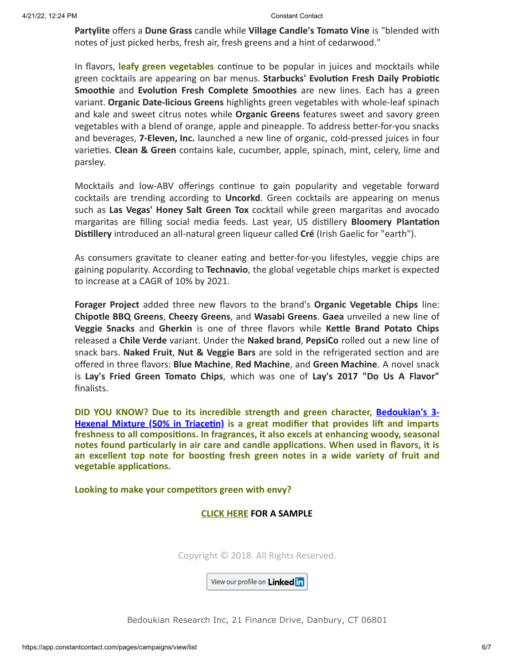**Partylite** offers a **Dune Grass** candle while **Village Candle's Tomato Vine** is "blended with notes of just picked herbs, fresh air, fresh greens and a hint of cedarwood."

In flavors, **leafy green vegetables** continue to be popular in juices and mocktails while green cocktails are appearing on bar menus. **Starbucks' Evolution Fresh Daily Probiotic Smoothie** and **Evolution Fresh Complete Smoothies** are new lines. Each has a green variant. **Organic Date-licious Greens** highlights green vegetables with whole-leaf spinach and kale and sweet citrus notes while **Organic Greens** features sweet and savory green vegetables with a blend of orange, apple and pineapple. To address better-for-you snacks and beverages, **7-Eleven, Inc.** launched a new line of organic, cold-pressed juices in four varieties. **Clean & Green** contains kale, cucumber, apple, spinach, mint, celery, lime and parsley.

Mocktails and low-ABV offerings continue to gain popularity and vegetable forward cocktails are trending according to **Uncorkd**. Green cocktails are appearing on menus such as **Las Vegas' Honey Salt Green Tox** cocktail while green margaritas and avocado margaritas are filling social media feeds. Last year, US distillery **Bloomery Plantation Distillery** introduced an all-natural green liqueur called **Cré** (Irish Gaelic for "earth").

As consumers gravitate to cleaner eating and better-for-you lifestyles, veggie chips are gaining popularity. According to **Technavio**, the global vegetable chips market is expected to increase at a CAGR of 10% by 2021.

**Forager Project** added three new flavors to the brand's **Organic Vegetable Chips** line: **Chipotle BBQ Greens**, **Cheezy Greens**, and **Wasabi Greens**. **Gaea** unveiled a new line of **Veggie Snacks** and **Gherkin** is one of three flavors while **Kettle Brand Potato Chips** released a **Chile Verde** variant. Under the **Naked brand**, **PepsiCo** rolled out a new line of snack bars. **Naked Fruit**, **Nut & Veggie Bars** are sold in the refrigerated section and are offered in three flavors: **Blue Machine**, **Red Machine**, and **Green Machine**. A novel snack is **Lay's Fried Green Tomato Chips**, which was one of **Lay's 2017 "Do Us A Flavor"** finalists.

**DID YOU KNOW? [Due to its incredible strength and green character, Bedoukian's 3-](http://search.bedoukian.com/flavorfragrance/ff_product.asp?method=POP&id=376) Hexenal Mixture (50% in Triacetin) is a great modifier that provides lift and imparts freshness to all compositions. In fragrances, it also excels at enhancing woody, seasonal notes found particularly in air care and candle applications. When used in flavors, it is an excellent top note for boosting fresh green notes in a wide variety of fruit and vegetable applications.**

**Looking to make your competitors green with envy?**

### **[CLICK HERE](mailto:customerservice@bedoukian.com?subject=Bedoukian%20Bulletin%20-%20Spring%202018&body=Hello%2C%0A%0AI%20would%20like%20to%20request%20free%20samples%20of%20each%20product%20advertised%20in%20the%20Spring%202018%20Bedoukian%20Bulletin!) FOR A SAMPLE**

Copyright © 2018. All Rights Reserved.

View our profile on Linked in

Bedoukian Research Inc, 21 Finance Drive, Danbury, CT 06801